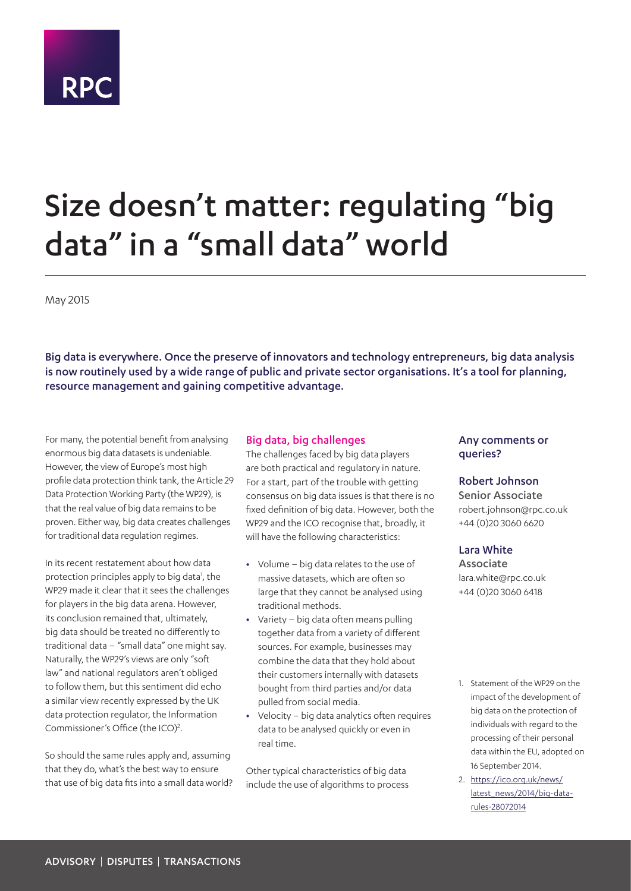# **RPC**

## Size doesn't matter: regulating "big data" in a "small data" world

May 2015

Big data is everywhere. Once the preserve of innovators and technology entrepreneurs, big data analysis is now routinely used by a wide range of public and private sector organisations. It's a tool for planning, resource management and gaining competitive advantage.

For many, the potential benefit from analysing enormous big data datasets is undeniable. However, the view of Europe's most high profile data protection think tank, the Article 29 Data Protection Working Party (the WP29), is that the real value of big data remains to be proven. Either way, big data creates challenges for traditional data regulation regimes.

In its recent restatement about how data protection principles apply to big data<sup>1</sup>, the WP29 made it clear that it sees the challenges for players in the big data arena. However, its conclusion remained that, ultimately, big data should be treated no differently to traditional data – "small data" one might say. Naturally, the WP29's views are only "soft law" and national regulators aren't obliged to follow them, but this sentiment did echo a similar view recently expressed by the UK data protection regulator, the Information Commissioner's Office (the ICO)<sup>[2](#page-0-1)</sup>.

So should the same rules apply and, assuming that they do, what's the best way to ensure that use of big data fits into a small data world?

#### Big data, big challenges

The challenges faced by big data players are both practical and regulatory in nature. For a start, part of the trouble with getting consensus on big data issues is that there is no fixed definition of big data. However, both the WP29 and the ICO recognise that, broadly, it will have the following characteristics:

- **•** Volume big data relates to the use of massive datasets, which are often so large that they cannot be analysed using traditional methods.
- **•** Variety big data often means pulling together data from a variety of different sources. For example, businesses may combine the data that they hold about their customers internally with datasets bought from third parties and/or data pulled from social media.
- **•** Velocity big data analytics often requires data to be analysed quickly or even in real time.

Other typical characteristics of big data include the use of algorithms to process

#### Any comments or queries?

#### Robert Johnson

Senior Associate robert.johnson@rpc.co.uk +44 (0)20 3060 6620

#### Lara White

Associate lara.white@rpc.co.uk +44 (0)20 3060 6418

- <span id="page-0-0"></span>1. Statement of the WP29 on the impact of the development of big data on the protection of individuals with regard to the processing of their personal data within the EU, adopted on 16 September 2014.
- <span id="page-0-1"></span>2. [https://ico.org.uk/news/](https://ico.org.uk/news/latest_news/2014/big-data-rules-28072014) [latest\\_news/2014/big-data](https://ico.org.uk/news/latest_news/2014/big-data-rules-28072014)[rules-28072014](https://ico.org.uk/news/latest_news/2014/big-data-rules-28072014)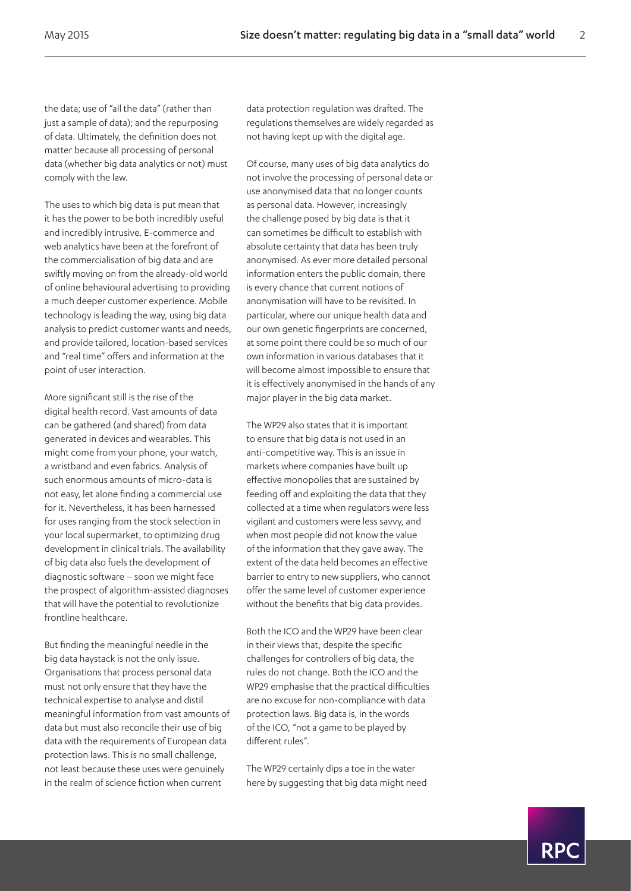the data; use of "all the data" (rather than just a sample of data); and the repurposing of data. Ultimately, the definition does not matter because all processing of personal data (whether big data analytics or not) must comply with the law.

The uses to which big data is put mean that it has the power to be both incredibly useful and incredibly intrusive. E-commerce and web analytics have been at the forefront of the commercialisation of big data and are swiftly moving on from the already-old world of online behavioural advertising to providing a much deeper customer experience. Mobile technology is leading the way, using big data analysis to predict customer wants and needs, and provide tailored, location-based services and "real time" offers and information at the point of user interaction.

More significant still is the rise of the digital health record. Vast amounts of data can be gathered (and shared) from data generated in devices and wearables. This might come from your phone, your watch, a wristband and even fabrics. Analysis of such enormous amounts of micro-data is not easy, let alone finding a commercial use for it. Nevertheless, it has been harnessed for uses ranging from the stock selection in your local supermarket, to optimizing drug development in clinical trials. The availability of big data also fuels the development of diagnostic software – soon we might face the prospect of algorithm-assisted diagnoses that will have the potential to revolutionize frontline healthcare.

But finding the meaningful needle in the big data haystack is not the only issue. Organisations that process personal data must not only ensure that they have the technical expertise to analyse and distil meaningful information from vast amounts of data but must also reconcile their use of big data with the requirements of European data protection laws. This is no small challenge, not least because these uses were genuinely in the realm of science fiction when current

data protection regulation was drafted. The regulations themselves are widely regarded as not having kept up with the digital age.

Of course, many uses of big data analytics do not involve the processing of personal data or use anonymised data that no longer counts as personal data. However, increasingly the challenge posed by big data is that it can sometimes be difficult to establish with absolute certainty that data has been truly anonymised. As ever more detailed personal information enters the public domain, there is every chance that current notions of anonymisation will have to be revisited. In particular, where our unique health data and our own genetic fingerprints are concerned, at some point there could be so much of our own information in various databases that it will become almost impossible to ensure that it is effectively anonymised in the hands of any major player in the big data market.

The WP29 also states that it is important to ensure that big data is not used in an anti-competitive way. This is an issue in markets where companies have built up effective monopolies that are sustained by feeding off and exploiting the data that they collected at a time when regulators were less vigilant and customers were less savvy, and when most people did not know the value of the information that they gave away. The extent of the data held becomes an effective barrier to entry to new suppliers, who cannot offer the same level of customer experience without the benefits that big data provides.

Both the ICO and the WP29 have been clear in their views that, despite the specific challenges for controllers of big data, the rules do not change. Both the ICO and the WP29 emphasise that the practical difficulties are no excuse for non-compliance with data protection laws. Big data is, in the words of the ICO, "not a game to be played by different rules".

The WP29 certainly dips a toe in the water here by suggesting that big data might need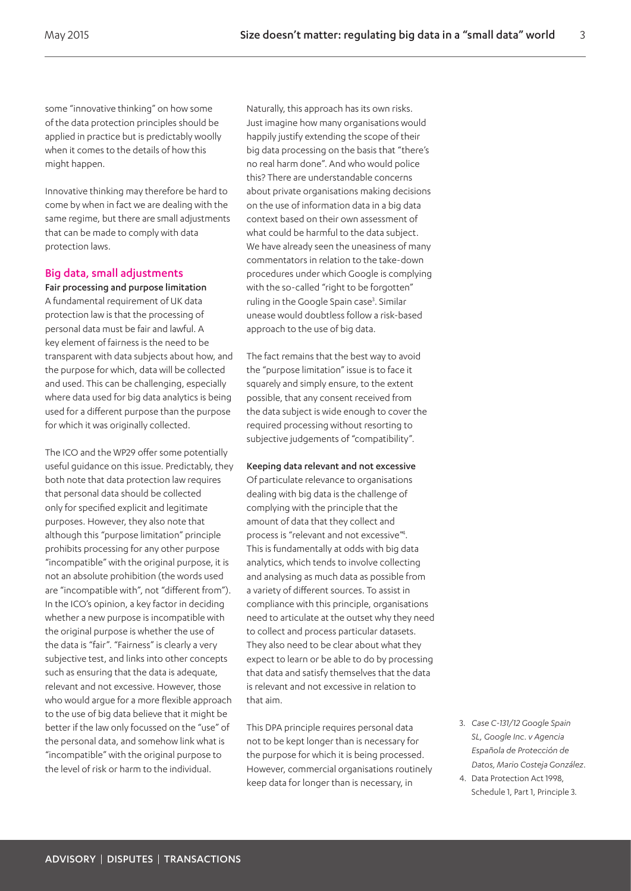some "innovative thinking" on how some of the data protection principles should be applied in practice but is predictably woolly when it comes to the details of how this might happen.

Innovative thinking may therefore be hard to come by when in fact we are dealing with the same regime, but there are small adjustments that can be made to comply with data protection laws.

#### Big data, small adjustments

Fair processing and purpose limitation A fundamental requirement of UK data protection law is that the processing of personal data must be fair and lawful. A key element of fairness is the need to be transparent with data subjects about how, and the purpose for which, data will be collected and used. This can be challenging, especially where data used for big data analytics is being used for a different purpose than the purpose for which it was originally collected.

The ICO and the WP29 offer some potentially useful guidance on this issue. Predictably, they both note that data protection law requires that personal data should be collected only for specified explicit and legitimate purposes. However, they also note that although this "purpose limitation" principle prohibits processing for any other purpose "incompatible" with the original purpose, it is not an absolute prohibition (the words used are "incompatible with", not "different from"). In the ICO's opinion, a key factor in deciding whether a new purpose is incompatible with the original purpose is whether the use of the data is "fair". "Fairness" is clearly a very subjective test, and links into other concepts such as ensuring that the data is adequate, relevant and not excessive. However, those who would argue for a more flexible approach to the use of big data believe that it might be better if the law only focussed on the "use" of the personal data, and somehow link what is "incompatible" with the original purpose to the level of risk or harm to the individual.

Naturally, this approach has its own risks. Just imagine how many organisations would happily justify extending the scope of their big data processing on the basis that "there's no real harm done". And who would police this? There are understandable concerns about private organisations making decisions on the use of information data in a big data context based on their own assessment of what could be harmful to the data subject. We have already seen the uneasiness of many commentators in relation to the take-down procedures under which Google is complying with the so-called "right to be forgotten" ruling in the Google Spain case<sup>3</sup>. Similar unease would doubtless follow a risk-based approach to the use of big data.

The fact remains that the best way to avoid the "purpose limitation" issue is to face it squarely and simply ensure, to the extent possible, that any consent received from the data subject is wide enough to cover the required processing without resorting to subjective judgements of "compatibility".

#### Keeping data relevant and not excessive

Of particulate relevance to organisations dealing with big data is the challenge of complying with the principle that the amount of data that they collect and process is "relevant and not excessive"<sup>4</sup>. This is fundamentally at odds with big data analytics, which tends to involve collecting and analysing as much data as possible from a variety of different sources. To assist in compliance with this principle, organisations need to articulate at the outset why they need to collect and process particular datasets. They also need to be clear about what they expect to learn or be able to do by processing that data and satisfy themselves that the data is relevant and not excessive in relation to that aim.

This DPA principle requires personal data not to be kept longer than is necessary for the purpose for which it is being processed. However, commercial organisations routinely keep data for longer than is necessary, in

- <span id="page-2-0"></span>3. *Case C-131/12 Google Spain SL, Google Inc. v Agencia Española de Protección de Datos, Mario Costeja González*.
- <span id="page-2-1"></span>4. Data Protection Act 1998, Schedule 1, Part 1, Principle 3.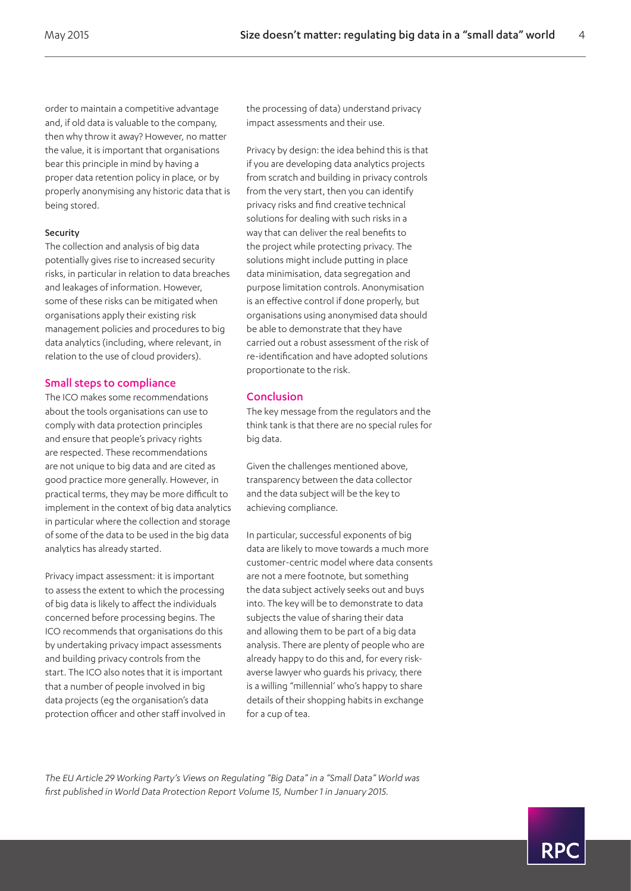order to maintain a competitive advantage and, if old data is valuable to the company, then why throw it away? However, no matter the value, it is important that organisations bear this principle in mind by having a proper data retention policy in place, or by properly anonymising any historic data that is being stored.

#### Security

The collection and analysis of big data potentially gives rise to increased security risks, in particular in relation to data breaches and leakages of information. However, some of these risks can be mitigated when organisations apply their existing risk management policies and procedures to big data analytics (including, where relevant, in relation to the use of cloud providers).

#### Small steps to compliance

The ICO makes some recommendations about the tools organisations can use to comply with data protection principles and ensure that people's privacy rights are respected. These recommendations are not unique to big data and are cited as good practice more generally. However, in practical terms, they may be more difficult to implement in the context of big data analytics in particular where the collection and storage of some of the data to be used in the big data analytics has already started.

Privacy impact assessment: it is important to assess the extent to which the processing of big data is likely to affect the individuals concerned before processing begins. The ICO recommends that organisations do this by undertaking privacy impact assessments and building privacy controls from the start. The ICO also notes that it is important that a number of people involved in big data projects (eg the organisation's data protection officer and other staff involved in the processing of data) understand privacy impact assessments and their use.

Privacy by design: the idea behind this is that if you are developing data analytics projects from scratch and building in privacy controls from the very start, then you can identify privacy risks and find creative technical solutions for dealing with such risks in a way that can deliver the real benefits to the project while protecting privacy. The solutions might include putting in place data minimisation, data segregation and purpose limitation controls. Anonymisation is an effective control if done properly, but organisations using anonymised data should be able to demonstrate that they have carried out a robust assessment of the risk of re-identification and have adopted solutions proportionate to the risk.

#### Conclusion

The key message from the regulators and the think tank is that there are no special rules for big data.

Given the challenges mentioned above, transparency between the data collector and the data subject will be the key to achieving compliance.

In particular, successful exponents of big data are likely to move towards a much more customer-centric model where data consents are not a mere footnote, but something the data subject actively seeks out and buys into. The key will be to demonstrate to data subjects the value of sharing their data and allowing them to be part of a big data analysis. There are plenty of people who are already happy to do this and, for every riskaverse lawyer who guards his privacy, there is a willing "millennial' who's happy to share details of their shopping habits in exchange for a cup of tea.

*The EU Article 29 Working Party's Views on Regulating "Big Data" in a "Small Data" World was first published in World Data Protection Report Volume 15, Number 1 in January 2015.*